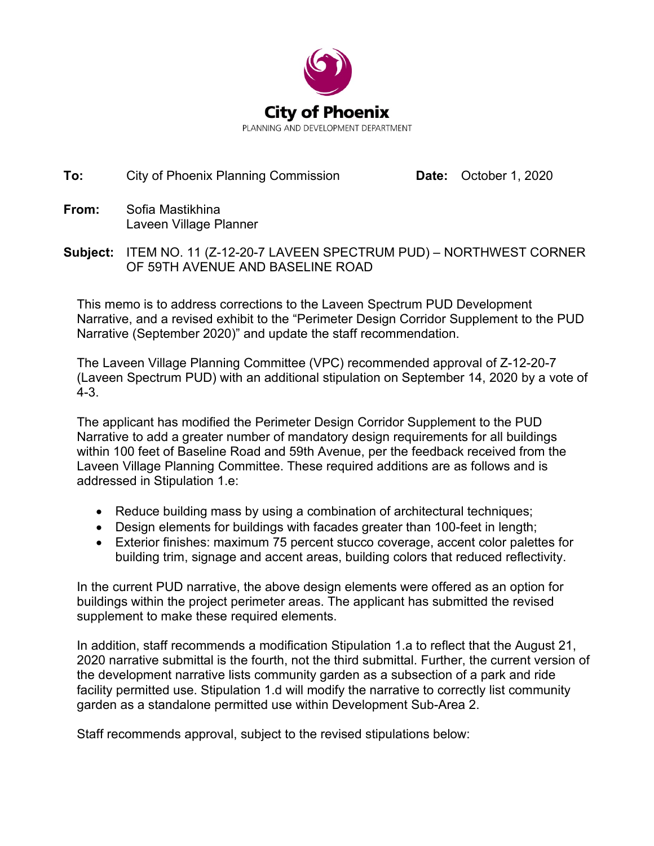

## **To:** City of Phoenix Planning Commission **Date:** October 1, 2020

- **From:** Sofia Mastikhina Laveen Village Planner
- **Subject:** ITEM NO. 11 (Z-12-20-7 LAVEEN SPECTRUM PUD) NORTHWEST CORNER OF 59TH AVENUE AND BASELINE ROAD

This memo is to address corrections to the Laveen Spectrum PUD Development Narrative, and a revised exhibit to the "Perimeter Design Corridor Supplement to the PUD Narrative (September 2020)" and update the staff recommendation.

The Laveen Village Planning Committee (VPC) recommended approval of Z-12-20-7 (Laveen Spectrum PUD) with an additional stipulation on September 14, 2020 by a vote of 4-3.

The applicant has modified the Perimeter Design Corridor Supplement to the PUD Narrative to add a greater number of mandatory design requirements for all buildings within 100 feet of Baseline Road and 59th Avenue, per the feedback received from the Laveen Village Planning Committee. These required additions are as follows and is addressed in Stipulation 1.e:

- Reduce building mass by using a combination of architectural techniques;
- Design elements for buildings with facades greater than 100-feet in length;
- Exterior finishes: maximum 75 percent stucco coverage, accent color palettes for building trim, signage and accent areas, building colors that reduced reflectivity.

In the current PUD narrative, the above design elements were offered as an option for buildings within the project perimeter areas. The applicant has submitted the revised supplement to make these required elements.

In addition, staff recommends a modification Stipulation 1.a to reflect that the August 21, 2020 narrative submittal is the fourth, not the third submittal. Further, the current version of the development narrative lists community garden as a subsection of a park and ride facility permitted use. Stipulation 1.d will modify the narrative to correctly list community garden as a standalone permitted use within Development Sub-Area 2.

Staff recommends approval, subject to the revised stipulations below: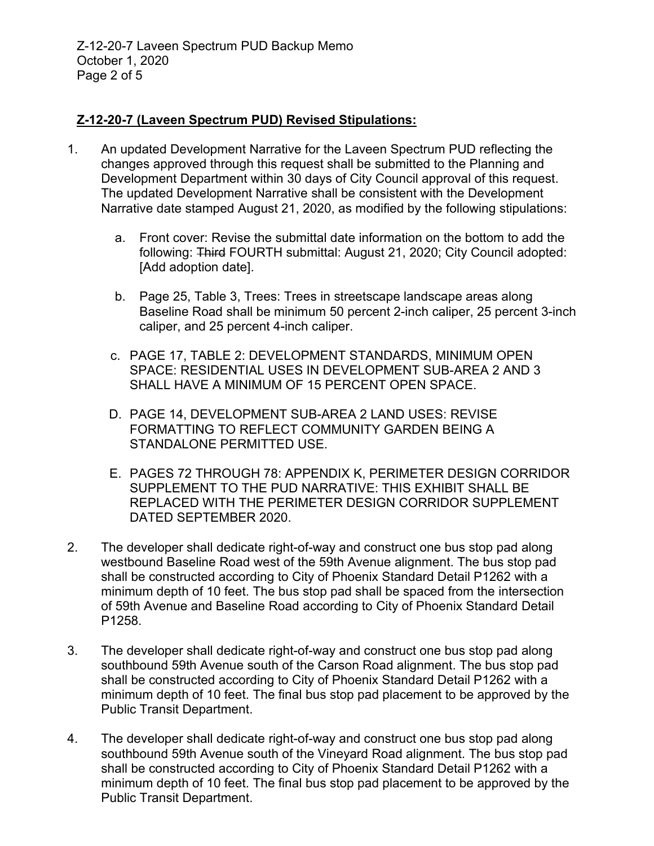Z-12-20-7 Laveen Spectrum PUD Backup Memo October 1, 2020 Page 2 of 5

## **Z-12-20-7 (Laveen Spectrum PUD) Revised Stipulations:**

- 1. An updated Development Narrative for the Laveen Spectrum PUD reflecting the changes approved through this request shall be submitted to the Planning and Development Department within 30 days of City Council approval of this request. The updated Development Narrative shall be consistent with the Development Narrative date stamped August 21, 2020, as modified by the following stipulations:
	- a. Front cover: Revise the submittal date information on the bottom to add the following: Third FOURTH submittal: August 21, 2020; City Council adopted: [Add adoption date].
	- b. Page 25, Table 3, Trees: Trees in streetscape landscape areas along Baseline Road shall be minimum 50 percent 2-inch caliper, 25 percent 3-inch caliper, and 25 percent 4-inch caliper.
	- c. PAGE 17, TABLE 2: DEVELOPMENT STANDARDS, MINIMUM OPEN SPACE: RESIDENTIAL USES IN DEVELOPMENT SUB-AREA 2 AND 3 SHALL HAVE A MINIMUM OF 15 PERCENT OPEN SPACE.
	- D. PAGE 14, DEVELOPMENT SUB-AREA 2 LAND USES: REVISE FORMATTING TO REFLECT COMMUNITY GARDEN BEING A STANDALONE PERMITTED USE.
	- E. PAGES 72 THROUGH 78: APPENDIX K, PERIMETER DESIGN CORRIDOR SUPPLEMENT TO THE PUD NARRATIVE: THIS EXHIBIT SHALL BE REPLACED WITH THE PERIMETER DESIGN CORRIDOR SUPPLEMENT DATED SEPTEMBER 2020.
- 2. The developer shall dedicate right-of-way and construct one bus stop pad along westbound Baseline Road west of the 59th Avenue alignment. The bus stop pad shall be constructed according to City of Phoenix Standard Detail P1262 with a minimum depth of 10 feet. The bus stop pad shall be spaced from the intersection of 59th Avenue and Baseline Road according to City of Phoenix Standard Detail P1258.
- 3. The developer shall dedicate right-of-way and construct one bus stop pad along southbound 59th Avenue south of the Carson Road alignment. The bus stop pad shall be constructed according to City of Phoenix Standard Detail P1262 with a minimum depth of 10 feet. The final bus stop pad placement to be approved by the Public Transit Department.
- 4. The developer shall dedicate right-of-way and construct one bus stop pad along southbound 59th Avenue south of the Vineyard Road alignment. The bus stop pad shall be constructed according to City of Phoenix Standard Detail P1262 with a minimum depth of 10 feet. The final bus stop pad placement to be approved by the Public Transit Department.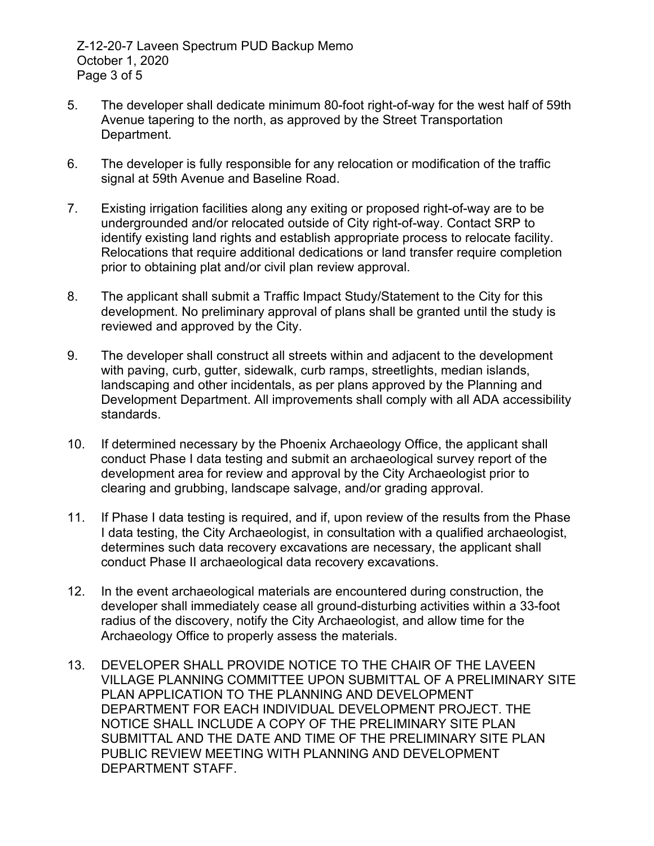- 5. The developer shall dedicate minimum 80-foot right-of-way for the west half of 59th Avenue tapering to the north, as approved by the Street Transportation Department.
- 6. The developer is fully responsible for any relocation or modification of the traffic signal at 59th Avenue and Baseline Road.
- 7. Existing irrigation facilities along any exiting or proposed right-of-way are to be undergrounded and/or relocated outside of City right-of-way. Contact SRP to identify existing land rights and establish appropriate process to relocate facility. Relocations that require additional dedications or land transfer require completion prior to obtaining plat and/or civil plan review approval.
- 8. The applicant shall submit a Traffic Impact Study/Statement to the City for this development. No preliminary approval of plans shall be granted until the study is reviewed and approved by the City.
- 9. The developer shall construct all streets within and adjacent to the development with paving, curb, gutter, sidewalk, curb ramps, streetlights, median islands, landscaping and other incidentals, as per plans approved by the Planning and Development Department. All improvements shall comply with all ADA accessibility standards.
- 10. If determined necessary by the Phoenix Archaeology Office, the applicant shall conduct Phase I data testing and submit an archaeological survey report of the development area for review and approval by the City Archaeologist prior to clearing and grubbing, landscape salvage, and/or grading approval.
- 11. If Phase I data testing is required, and if, upon review of the results from the Phase I data testing, the City Archaeologist, in consultation with a qualified archaeologist, determines such data recovery excavations are necessary, the applicant shall conduct Phase II archaeological data recovery excavations.
- 12. In the event archaeological materials are encountered during construction, the developer shall immediately cease all ground-disturbing activities within a 33-foot radius of the discovery, notify the City Archaeologist, and allow time for the Archaeology Office to properly assess the materials.
- 13. DEVELOPER SHALL PROVIDE NOTICE TO THE CHAIR OF THE LAVEEN VILLAGE PLANNING COMMITTEE UPON SUBMITTAL OF A PRELIMINARY SITE PLAN APPLICATION TO THE PLANNING AND DEVELOPMENT DEPARTMENT FOR EACH INDIVIDUAL DEVELOPMENT PROJECT. THE NOTICE SHALL INCLUDE A COPY OF THE PRELIMINARY SITE PLAN SUBMITTAL AND THE DATE AND TIME OF THE PRELIMINARY SITE PLAN PUBLIC REVIEW MEETING WITH PLANNING AND DEVELOPMENT DEPARTMENT STAFF.